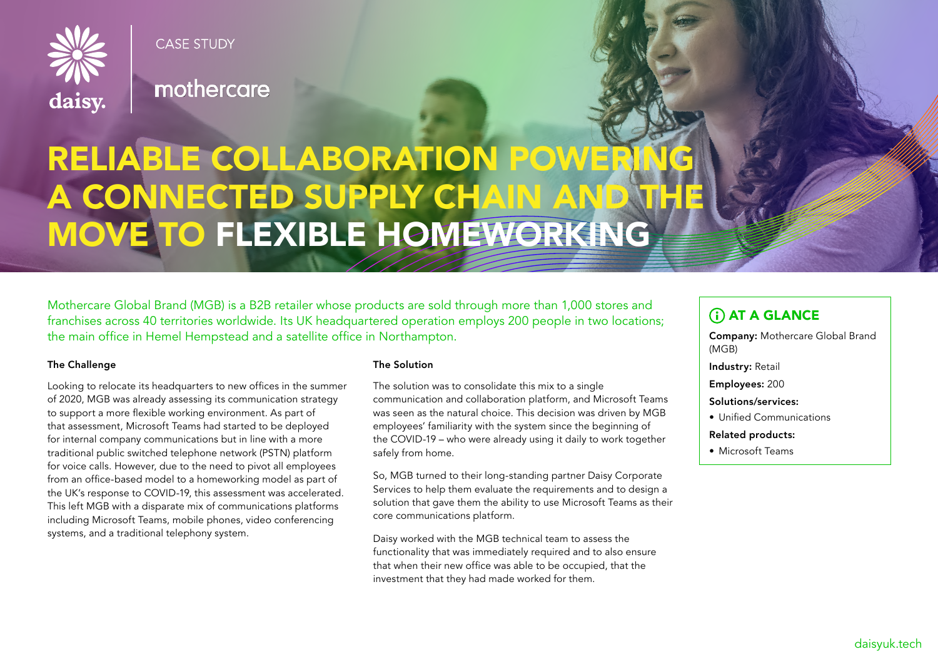

**CASE STUDY** 

mothercare

# RELIABLE COLLABORATION POWERI A CONNECTED SUPPLY CHAIN AND THE MOVE TO FLEXIBLE HOMEWORKING

Mothercare Global Brand (MGB) is a B2B retailer whose products are sold through more than 1,000 stores and franchises across 40 territories worldwide. Its UK headquartered operation employs 200 people in two locations; the main office in Hemel Hempstead and a satellite office in Northampton.

## The Challenge

Looking to relocate its headquarters to new offices in the summer of 2020, MGB was already assessing its communication strategy to support a more flexible working environment. As part of that assessment, Microsoft Teams had started to be deployed for internal company communications but in line with a more traditional public switched telephone network (PSTN) platform for voice calls. However, due to the need to pivot all employees from an office-based model to a homeworking model as part of the UK's response to COVID-19, this assessment was accelerated. This left MGB with a disparate mix of communications platforms including Microsoft Teams, mobile phones, video conferencing systems, and a traditional telephony system.

### The Solution

The solution was to consolidate this mix to a single communication and collaboration platform, and Microsoft Teams was seen as the natural choice. This decision was driven by MGB employees' familiarity with the system since the beginning of the COVID-19 – who were already using it daily to work together safely from home.

So, MGB turned to their long-standing partner Daisy Corporate Services to help them evaluate the requirements and to design a solution that gave them the ability to use Microsoft Teams as their core communications platform.

Daisy worked with the MGB technical team to assess the functionality that was immediately required and to also ensure that when their new office was able to be occupied, that the investment that they had made worked for them.

# **(i) AT A GLANCE**

Company: Mothercare Global Brand (MGB)

Industry: Retail

Employees: 200

Solutions/services:

• Unified Communications

### Related products:

• Microsoft Teams